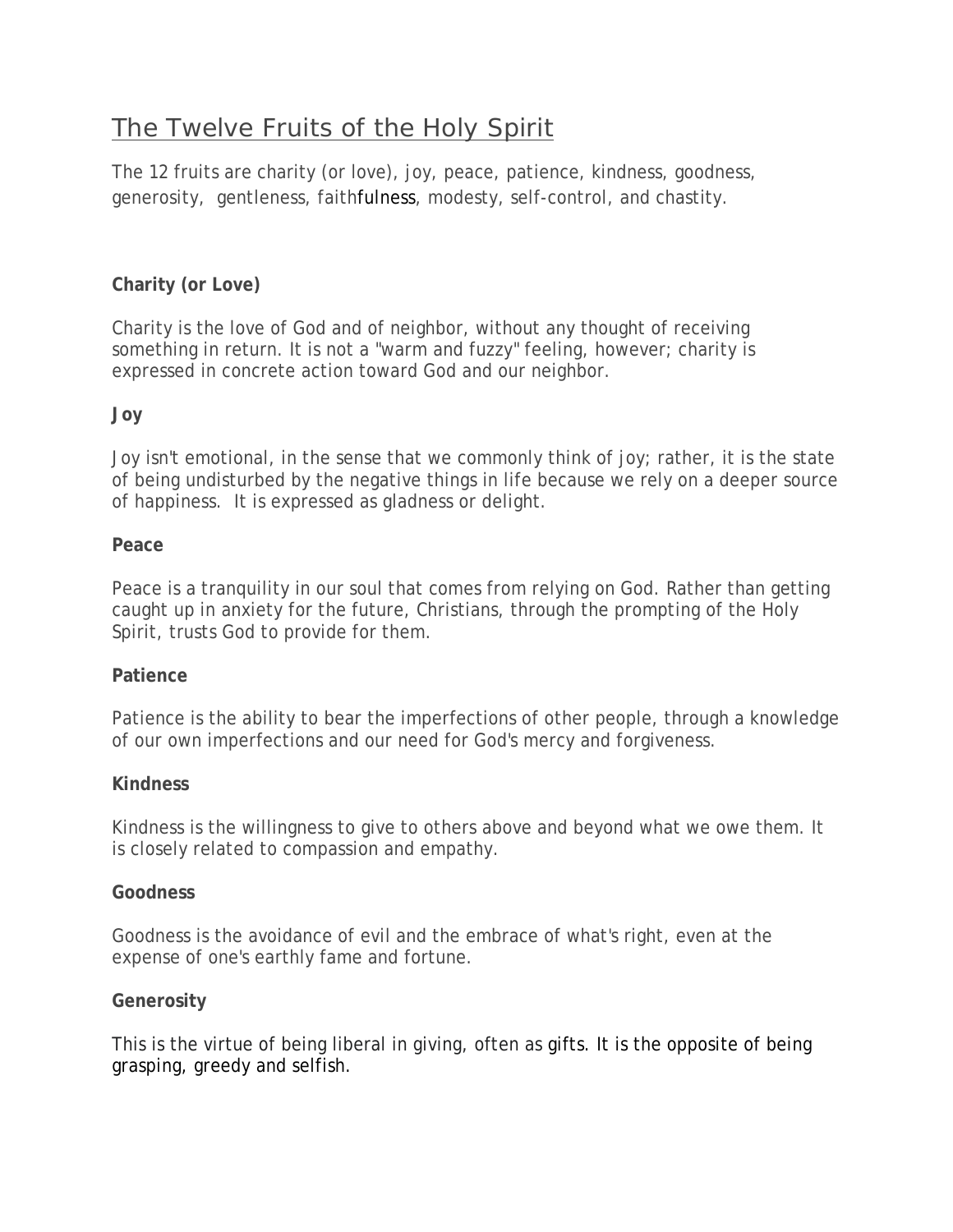# The Twelve Fruits of the Holy Spirit

The 12 fruits are [charity](https://www.learnreligions.com/charity-the-greatest-theological-virtue-542117) (or love), joy, peace, patience, kindness, goodness, generosity, gentleness, [faithf](https://www.learnreligions.com/faith-a-theological-virtue-542120)ulness, modesty, self-control, and chastity.

# **Charity (or Love)**

Charity is the love of God and of neighbor, without any thought of receiving something in return. It is not a "warm and fuzzy" feeling, however; charity is expressed in concrete action toward God and our neighbor.

# **Joy**

Joy isn't emotional, in the sense that we commonly think of joy; rather, it is the state of being undisturbed by the negative things in life because we rely on a deeper source of happiness. It is expressed as gladness or delight.

#### **Peace**

Peace is a tranquility in our soul that comes from relying on God. Rather than getting caught up in anxiety for the future, Christians, through the prompting of the Holy Spirit, trusts God to provide for them.

# **Patience**

Patience is the ability to bear the imperfections of other people, through a knowledge of our own imperfections and our need for God's mercy and forgiveness.

#### **Kindness**

Kindness is the willingness to give to others above and beyond what we owe them. It is closely related to compassion and empathy.

#### **Goodness**

Goodness is the avoidance of evil and the embrace of what's right, even at the expense of one's earthly fame and fortune.

#### **Generosity**

This is the virtue of being liberal in giving, often as [gifts.](https://en.wikipedia.org/wiki/Gift) It is the opposite of being grasping, greedy and selfish.